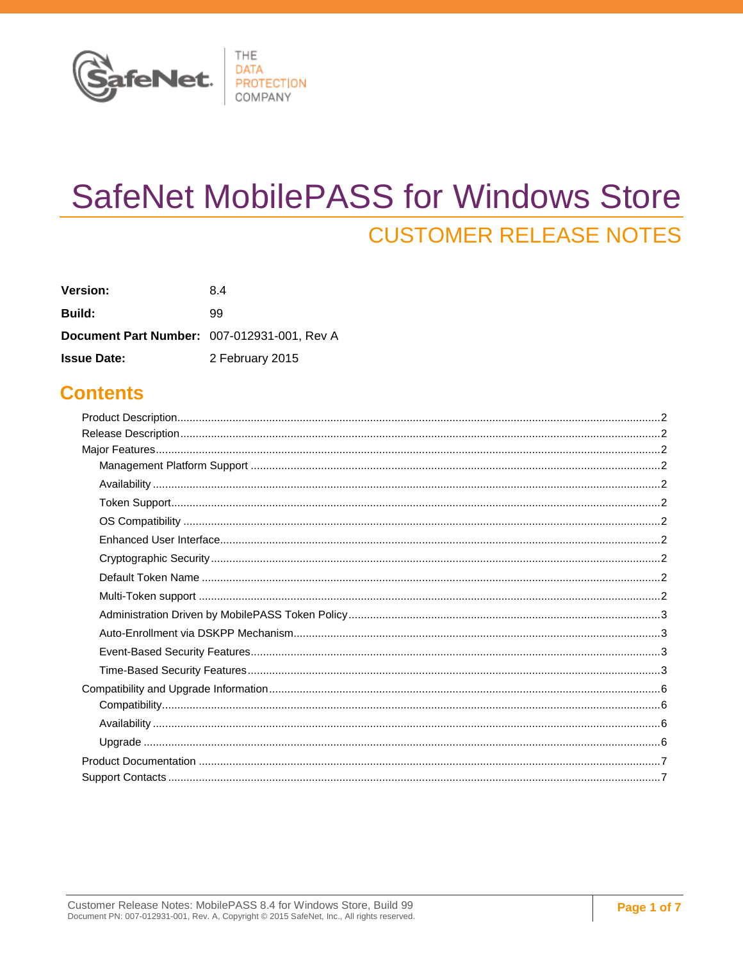

# **SafeNet MobilePASS for Windows Store CUSTOMER RELEASE NOTES**

| <b>Version:</b>                             | 84              |
|---------------------------------------------|-----------------|
| <b>Build:</b>                               | 99              |
| Document Part Number: 007-012931-001, Rev A |                 |
| <b>Issue Date:</b>                          | 2 February 2015 |

### **Contents**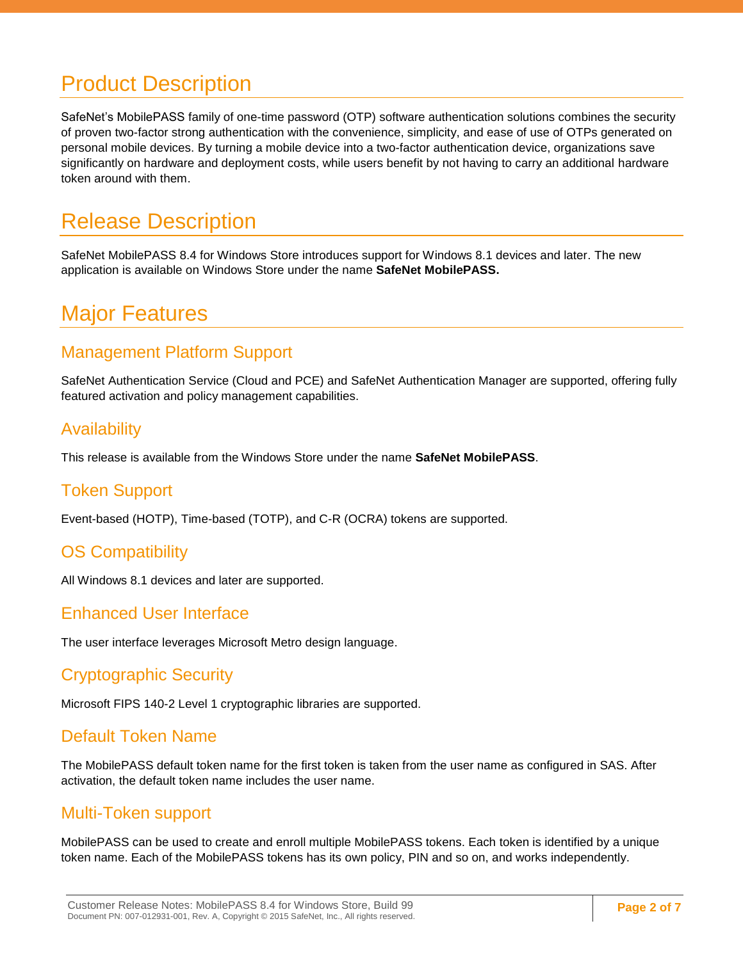# <span id="page-1-0"></span>Product Description

SafeNet's MobilePASS family of one-time password (OTP) software authentication solutions combines the security of proven two-factor strong authentication with the convenience, simplicity, and ease of use of OTPs generated on personal mobile devices. By turning a mobile device into a two-factor authentication device, organizations save significantly on hardware and deployment costs, while users benefit by not having to carry an additional hardware token around with them.

# <span id="page-1-1"></span>Release Description

SafeNet MobilePASS 8.4 for Windows Store introduces support for Windows 8.1 devices and later. The new application is available on Windows Store under the name **SafeNet MobilePASS.**

## <span id="page-1-2"></span>Major Features

### <span id="page-1-3"></span>Management Platform Support

SafeNet Authentication Service (Cloud and PCE) and SafeNet Authentication Manager are supported, offering fully featured activation and policy management capabilities.

#### <span id="page-1-4"></span>**Availability**

This release is available from the Windows Store under the name **SafeNet MobilePASS**.

### <span id="page-1-5"></span>Token Support

Event-based (HOTP), Time-based (TOTP), and C-R (OCRA) tokens are supported.

### <span id="page-1-6"></span>OS Compatibility

All Windows 8.1 devices and later are supported.

#### <span id="page-1-7"></span>Enhanced User Interface

The user interface leverages Microsoft Metro design language.

### <span id="page-1-8"></span>Cryptographic Security

Microsoft FIPS 140-2 Level 1 cryptographic libraries are supported.

#### <span id="page-1-9"></span>Default Token Name

The MobilePASS default token name for the first token is taken from the user name as configured in SAS. After activation, the default token name includes the user name.

#### <span id="page-1-10"></span>Multi-Token support

MobilePASS can be used to create and enroll multiple MobilePASS tokens. Each token is identified by a unique token name. Each of the MobilePASS tokens has its own policy, PIN and so on, and works independently.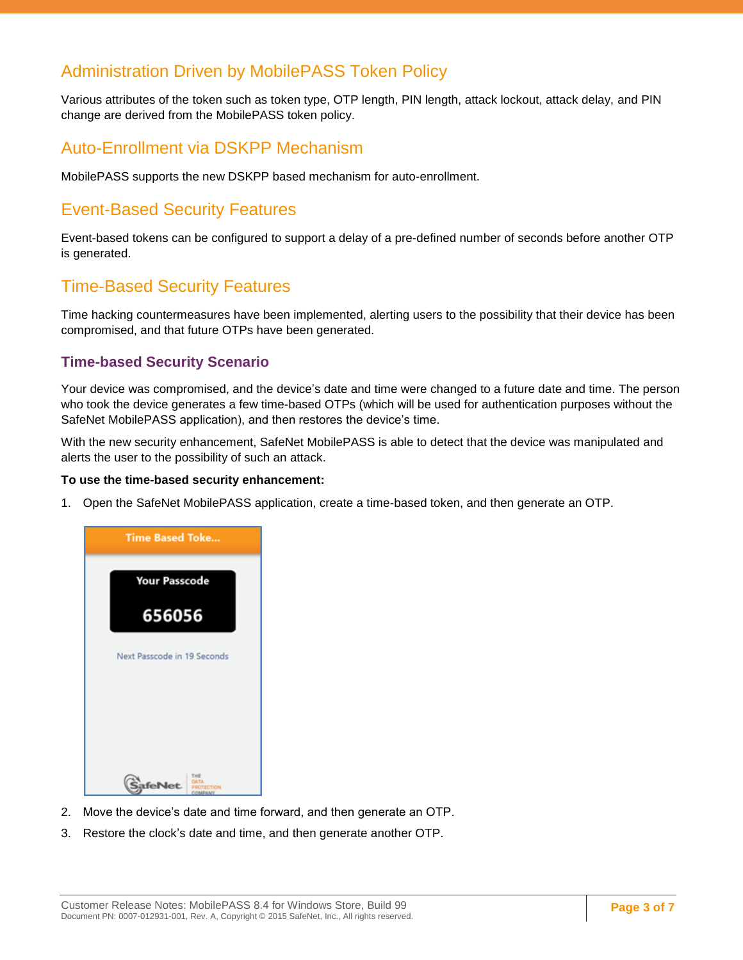### <span id="page-2-0"></span>Administration Driven by MobilePASS Token Policy

Various attributes of the token such as token type, OTP length, PIN length, attack lockout, attack delay, and PIN change are derived from the MobilePASS token policy.

#### <span id="page-2-1"></span>Auto-Enrollment via DSKPP Mechanism

MobilePASS supports the new DSKPP based mechanism for auto-enrollment.

### <span id="page-2-2"></span>Event-Based Security Features

Event-based tokens can be configured to support a delay of a pre-defined number of seconds before another OTP is generated.

### <span id="page-2-3"></span>Time-Based Security Features

Time hacking countermeasures have been implemented, alerting users to the possibility that their device has been compromised, and that future OTPs have been generated.

#### **Time-based Security Scenario**

Your device was compromised, and the device's date and time were changed to a future date and time. The person who took the device generates a few time-based OTPs (which will be used for authentication purposes without the SafeNet MobilePASS application), and then restores the device's time.

With the new security enhancement, SafeNet MobilePASS is able to detect that the device was manipulated and alerts the user to the possibility of such an attack.

#### **To use the time-based security enhancement:**

1. Open the SafeNet MobilePASS application, create a time-based token, and then generate an OTP.



- 2. Move the device's date and time forward, and then generate an OTP.
- 3. Restore the clock's date and time, and then generate another OTP.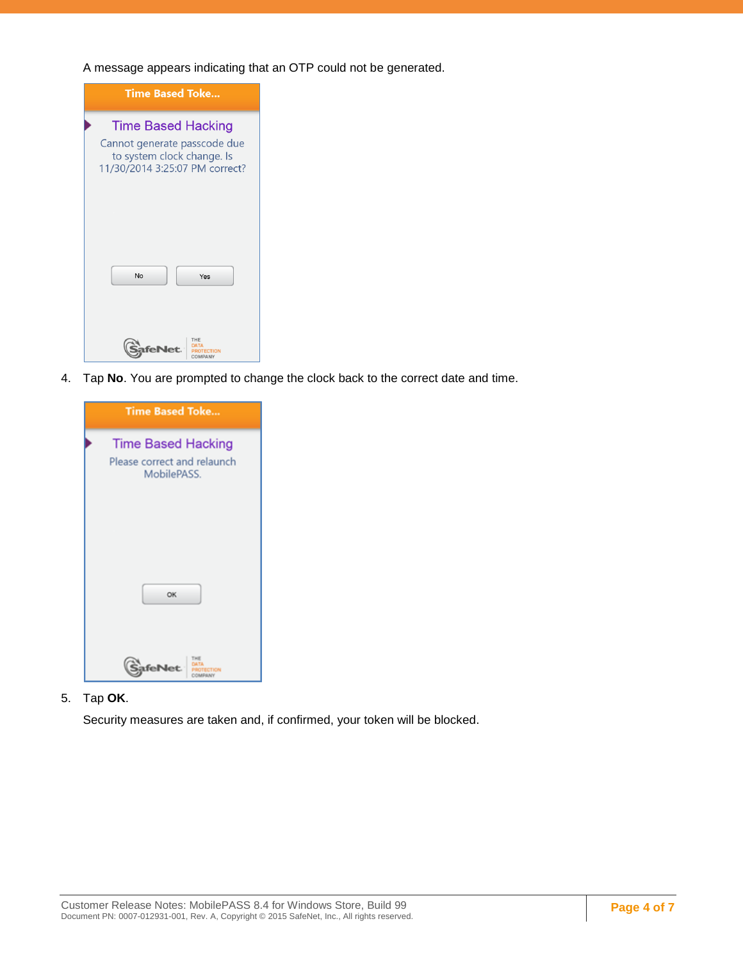A message appears indicating that an OTP could not be generated.

| <b>Time Based Toke</b>                                                                                                    |
|---------------------------------------------------------------------------------------------------------------------------|
| <b>Time Based Hacking</b><br>Cannot generate passcode due<br>to system clock change. Is<br>11/30/2014 3:25:07 PM correct? |
| No<br>Yes                                                                                                                 |
| <b>MPANY</b>                                                                                                              |

4. Tap **No**. You are prompted to change the clock back to the correct date and time.

| <b>Time Based Toke</b>                                                  |
|-------------------------------------------------------------------------|
| <b>Time Based Hacking</b><br>Please correct and relaunch<br>MobilePASS. |
|                                                                         |
| OK                                                                      |
| deNet.                                                                  |

5. Tap **OK**.

Security measures are taken and, if confirmed, your token will be blocked.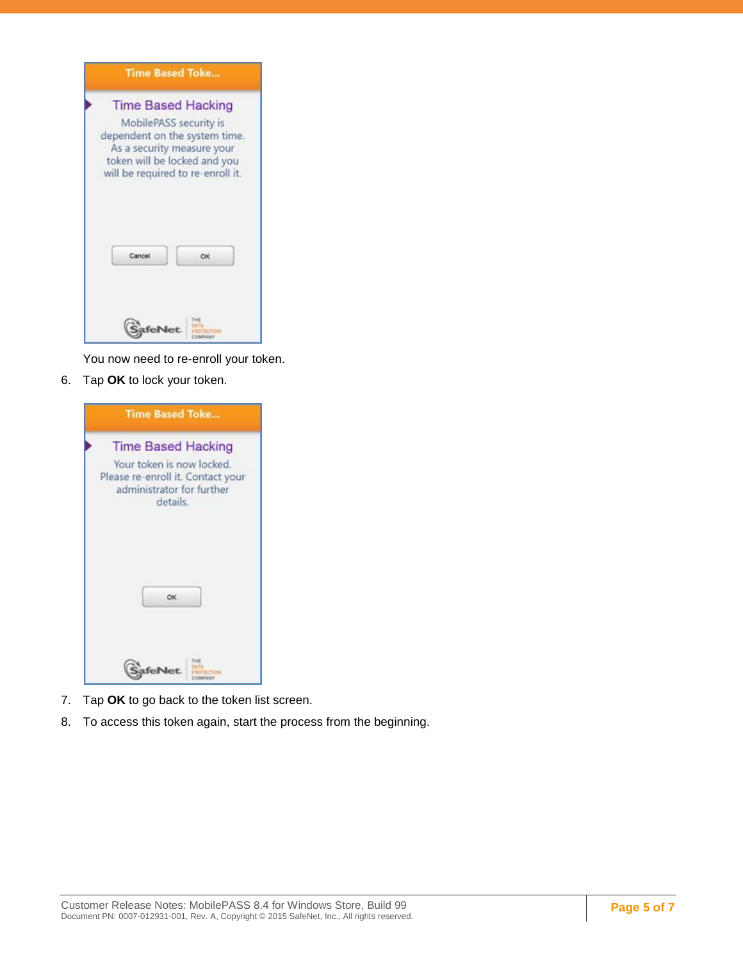| <b>Time Based Toke</b>                                                                                                                                                                  |  |
|-----------------------------------------------------------------------------------------------------------------------------------------------------------------------------------------|--|
| <b>Time Based Hacking</b><br>MobilePASS security is<br>dependent on the system time.<br>As a security measure your<br>token will be locked and you<br>will be required to re-enroll it. |  |
| Cancel<br>OK                                                                                                                                                                            |  |
|                                                                                                                                                                                         |  |

You now need to re-enroll your token.

6. Tap **OK** to lock your token.

| <b>Time Based Toke</b>                                                                                                               |
|--------------------------------------------------------------------------------------------------------------------------------------|
| <b>Time Based Hacking</b><br>Your token is now locked.<br>Please re-enroll it. Contact your<br>administrator for further<br>details. |
| OK                                                                                                                                   |
| fel                                                                                                                                  |

- 7. Tap **OK** to go back to the token list screen.
- 8. To access this token again, start the process from the beginning.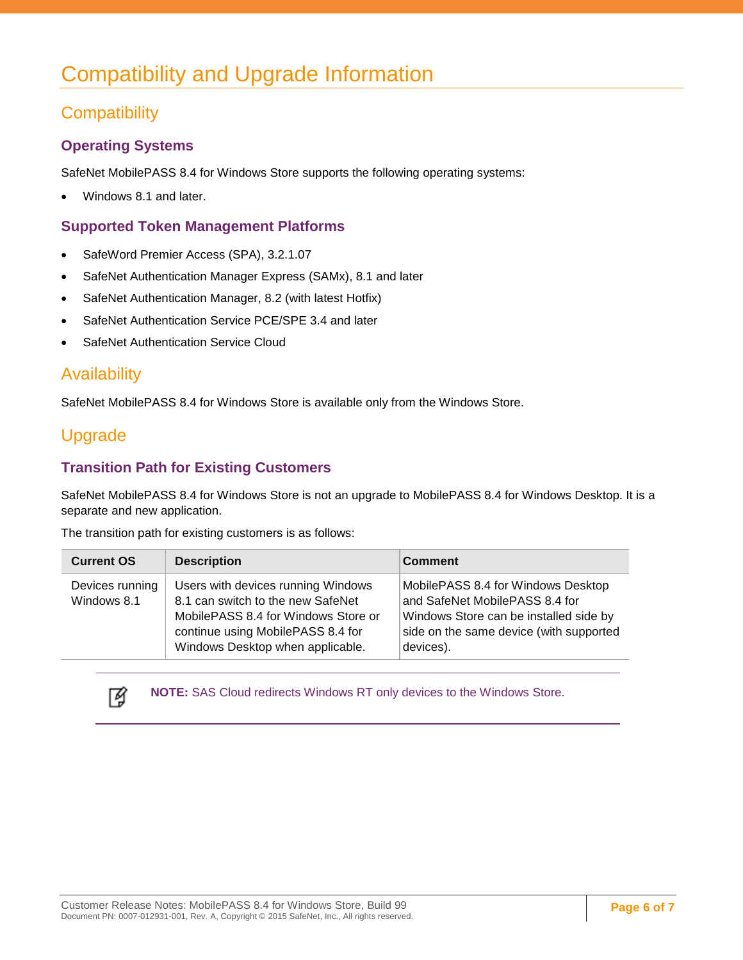# <span id="page-5-0"></span>Compatibility and Upgrade Information

### <span id="page-5-1"></span>**Compatibility**

#### **Operating Systems**

SafeNet MobilePASS 8.4 for Windows Store supports the following operating systems:

Windows 8.1 and later.

#### **Supported Token Management Platforms**

- SafeWord Premier Access (SPA), 3.2.1.07
- SafeNet Authentication Manager Express (SAMx), 8.1 and later
- SafeNet Authentication Manager, 8.2 (with latest Hotfix)
- SafeNet Authentication Service PCE/SPE 3.4 and later
- SafeNet Authentication Service Cloud

### <span id="page-5-2"></span>**Availability**

SafeNet MobilePASS 8.4 for Windows Store is available only from the Windows Store.

### <span id="page-5-3"></span>Upgrade

#### **Transition Path for Existing Customers**

SafeNet MobilePASS 8.4 for Windows Store is not an upgrade to MobilePASS 8.4 for Windows Desktop. It is a separate and new application.

The transition path for existing customers is as follows:

| <b>Current OS</b>              | <b>Description</b>                                                                                                                                                                      | <b>Comment</b>                                                                                                                                                         |
|--------------------------------|-----------------------------------------------------------------------------------------------------------------------------------------------------------------------------------------|------------------------------------------------------------------------------------------------------------------------------------------------------------------------|
| Devices running<br>Windows 8.1 | Users with devices running Windows<br>8.1 can switch to the new SafeNet<br>MobilePASS 8.4 for Windows Store or<br>continue using MobilePASS 8.4 for<br>Windows Desktop when applicable. | MobilePASS 8.4 for Windows Desktop<br>and SafeNet MobilePASS 8.4 for<br>Windows Store can be installed side by<br>side on the same device (with supported<br>devices). |



**NOTE:** SAS Cloud redirects Windows RT only devices to the Windows Store.